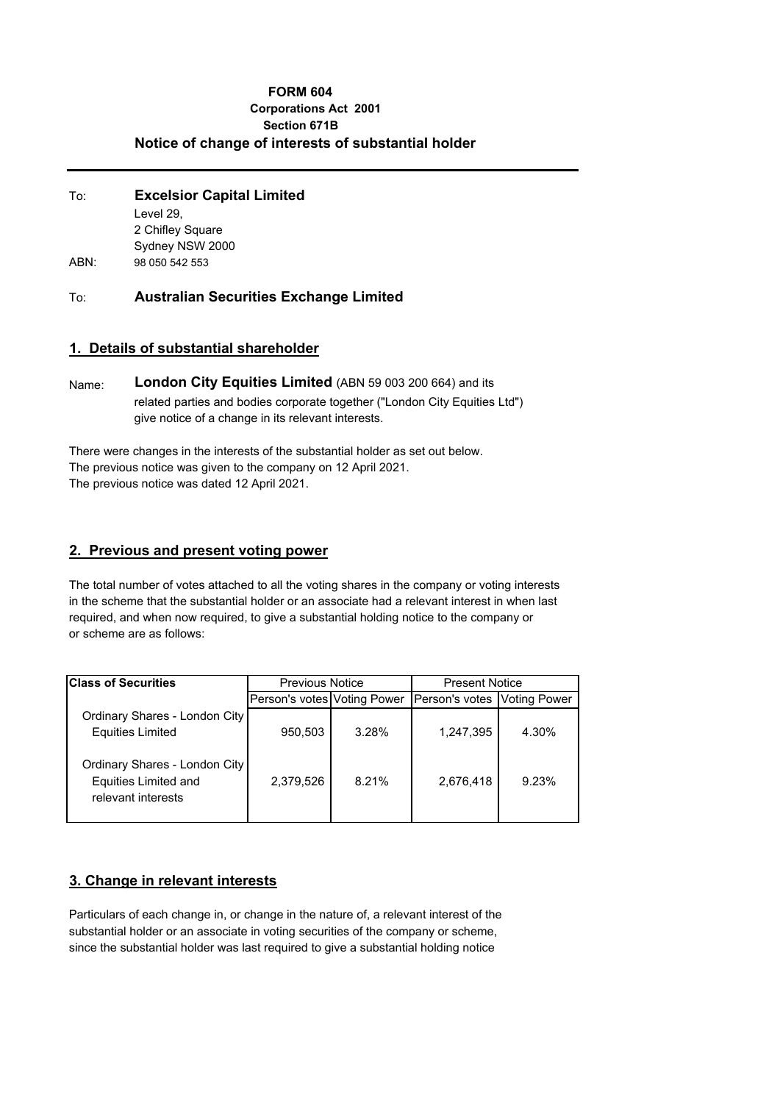#### **FORM 604 Corporations Act 2001 Section 671B Notice of change of interests of substantial holder**

| To:  | <b>Excelsior Capital Limited</b> |  |  |
|------|----------------------------------|--|--|
|      | Level 29.                        |  |  |
|      | 2 Chifley Square                 |  |  |
|      | Sydney NSW 2000                  |  |  |
| ABN: | 98 050 542 553                   |  |  |

To: **Australian Securities Exchange Limited**

#### **1. Details of substantial shareholder**

Name: **London City Equities Limited** (ABN 59 003 200 664) and its related parties and bodies corporate together ("London City Equities Ltd") give notice of a change in its relevant interests.

There were changes in the interests of the substantial holder as set out below. The previous notice was given to the company on 12 April 2021. The previous notice was dated 12 April 2021.

#### **2. Previous and present voting power**

The total number of votes attached to all the voting shares in the company or voting interests in the scheme that the substantial holder or an associate had a relevant interest in when last required, and when now required, to give a substantial holding notice to the company or or scheme are as follows:

| <b>Class of Securities</b>                                                         | <b>Previous Notice</b>      |       | <b>Present Notice</b>       |       |
|------------------------------------------------------------------------------------|-----------------------------|-------|-----------------------------|-------|
|                                                                                    | Person's votes Voting Power |       | Person's votes Voting Power |       |
| Ordinary Shares - London City<br><b>Equities Limited</b>                           | 950,503                     | 3.28% | 1,247,395                   | 4.30% |
| Ordinary Shares - London City<br><b>Equities Limited and</b><br>relevant interests | 2,379,526                   | 8.21% | 2,676,418                   | 9.23% |

# **3. Change in relevant interests**

Particulars of each change in, or change in the nature of, a relevant interest of the substantial holder or an associate in voting securities of the company or scheme, since the substantial holder was last required to give a substantial holding notice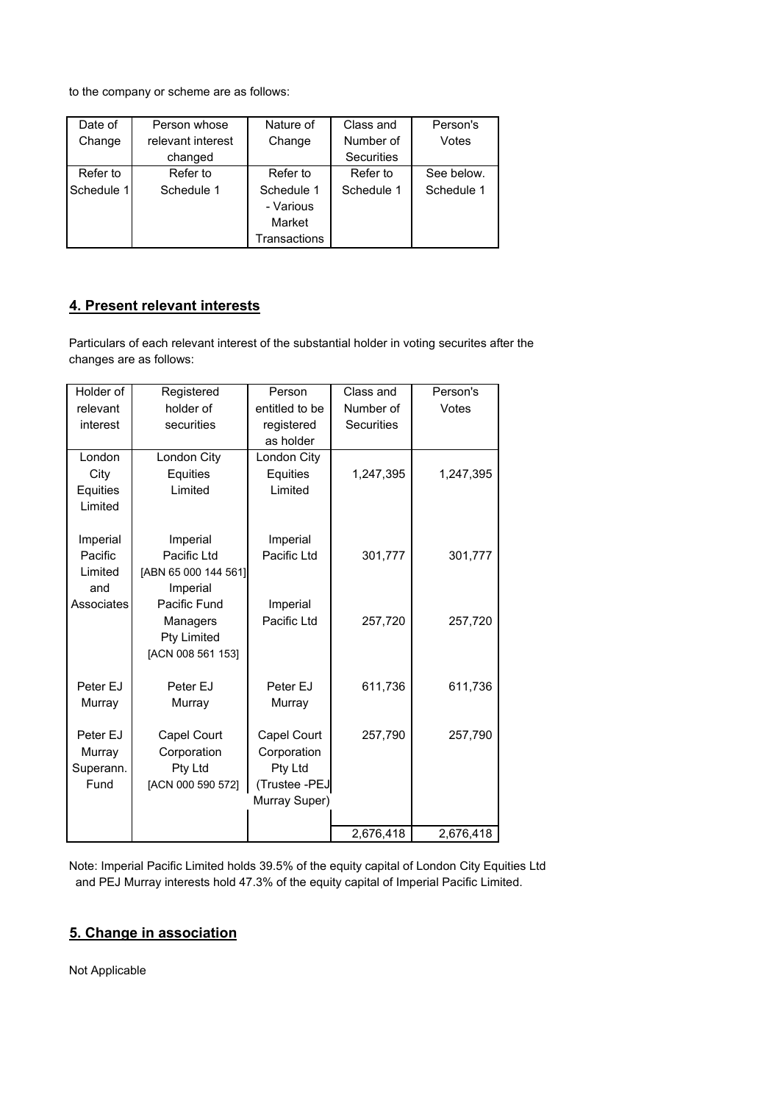to the company or scheme are as follows:

| Date of    | Person whose      | Nature of    | Class and  | Person's   |
|------------|-------------------|--------------|------------|------------|
| Change     | relevant interest | Change       | Number of  | Votes      |
|            | changed           |              | Securities |            |
| Refer to   | Refer to          | Refer to     | Refer to   | See below. |
| Schedule 1 | Schedule 1        | Schedule 1   | Schedule 1 | Schedule 1 |
|            |                   | - Various    |            |            |
|            |                   | Market       |            |            |
|            |                   | Transactions |            |            |

# **4. Present relevant interests**

Particulars of each relevant interest of the substantial holder in voting securites after the changes are as follows:

| Holder of  | Registered           | Person         | Class and         | Person's  |
|------------|----------------------|----------------|-------------------|-----------|
| relevant   | holder of            | entitled to be | Number of         | Votes     |
| interest   | securities           | registered     | <b>Securities</b> |           |
|            |                      | as holder      |                   |           |
| London     | London City          | London City    |                   |           |
| City       | Equities             | Equities       | 1,247,395         | 1,247,395 |
| Equities   | Limited              | Limited        |                   |           |
| Limited    |                      |                |                   |           |
|            |                      |                |                   |           |
| Imperial   | Imperial             | Imperial       |                   |           |
| Pacific    | Pacific Ltd          | Pacific Ltd    | 301,777           | 301,777   |
| Limited    | [ABN 65 000 144 561] |                |                   |           |
| and        | Imperial             |                |                   |           |
| Associates | Pacific Fund         | Imperial       |                   |           |
|            | Managers             | Pacific Ltd    | 257,720           | 257,720   |
|            | <b>Pty Limited</b>   |                |                   |           |
|            | [ACN 008 561 153]    |                |                   |           |
| Peter EJ   | Peter EJ             | Peter EJ       | 611,736           | 611,736   |
| Murray     | Murray               | Murray         |                   |           |
|            |                      |                |                   |           |
| Peter EJ   | Capel Court          | Capel Court    | 257,790           | 257,790   |
| Murray     | Corporation          | Corporation    |                   |           |
| Superann.  | Pty Ltd              | Pty Ltd        |                   |           |
| Fund       | [ACN 000 590 572]    | (Trustee -PEJ  |                   |           |
|            |                      | Murray Super)  |                   |           |
|            |                      |                |                   |           |
|            |                      |                | 2,676,418         | 2,676,418 |

Note: Imperial Pacific Limited holds 39.5% of the equity capital of London City Equities Ltd and PEJ Murray interests hold 47.3% of the equity capital of Imperial Pacific Limited.

# **5. Change in association**

Not Applicable